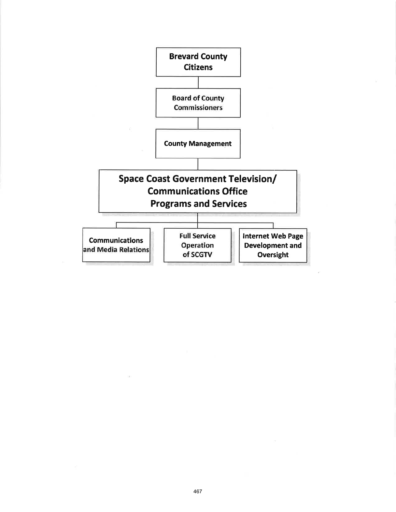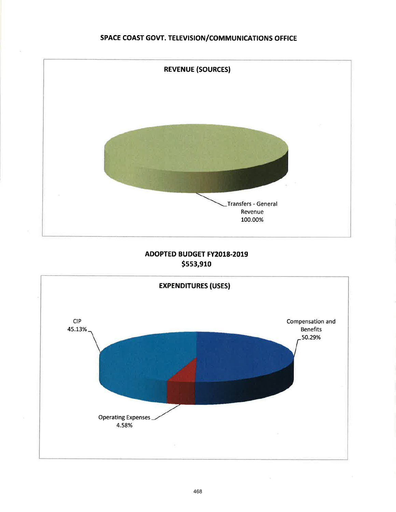# SPACE COAST GOVT. TELEVISION/COMMUNICATIONS OFFICE



# ADOPTED BUDGET FY2018.2019 \$553,910

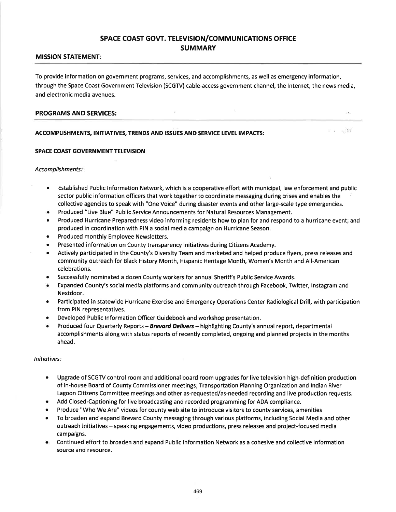## SPACE COAST GOVT. TELEVISION/COMMUNICATIONS OFFICE SUMMARY

## MISSION STATEMENT:

To provide information on government programs, services, and accomplishments, as well as emergency information, through the Space Coast Government Television (SCGTV) cable-access government channel, the lnternet, the news media, and electronic media avenues.

### PROGRAMS AND SERVICES:

## ACCOMPLISHMENTS, INITIATIVES, TRENDS AND ISSUES AND SERVICE LEVEL IMPACTS:

## SPACE COAST GOVERNMENT TELEVISION

Accomplishments:

. Established Public lnformation Network, which is a cooperative effort with municipal, law enforcement and public sector public information officers that work together to coordinate messaging during crises and enables the collective agencies to speak with "One Voice" during disaster events and other large-scale type emergencies.

 $1 - 1 - \frac{1}{2}$ 

- Produced "Live Blue" Public Service Announcements for Natural Resources Management.
- Produced Hurricane Preparedness video informing residents how to plan for and respond to a hurricane event; and produced in coordination with PIN a social media campaign on Hurricane Season.
- o Produced monthly Employee Newsletters.
- Presented information on County transparency initiatives during Citizens Academy.
- Actively participated in the County's Diversity Team and marketed and helped produce flyers, press releases and community outreach for Black History Month, Hispanic Heritage Month, Women's Month and All-American celebrations.
- Successfully nominated a dozen County workers for annual Sheriff's Public Service Awards.
- Expanded County's social media platforms and community outreach through Facebook, Twitter, Instagram and Nextdoor.
- **•** Participated in statewide Hurricane Exercise and Emergency Operations Center Radiological Drill, with participation from PIN representatives.
- Developed Public Information Officer Guidebook and workshop presentation.
- Produced four Quarterly Reports Brevard Delivers highlighting County's annual report, departmental accomplishments along with status reports of recently completed, ongoing and planned projects in the months ahead.

## Initiotives:

- . Upgrade of SCGTV control room and additional board room upgrades for live television high-definition production of in-house Board of County Commissioner meetings; Transportation Planning Organization and lndian River Lagoon Citizens Committee meetings and other as-requested/as-needed recording and live production requests.
- Add Closed-Captioning for live broadcasting and recorded programming for ADA compliance.
- Produce "Who We Are" videos for county web site to introduce visitors to county services, amenities
- o To broaden and expand Brevard County messaging through various platforms, including Social Media and other outreach initiatives - speaking engagements, video productions, press releases and project-focused media campaigns.
- r Continued effort to broaden and expand Public lnformation Network as a cohesive and collective information source and resource.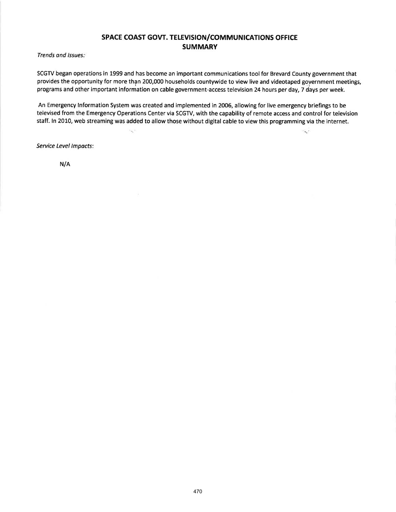# SPACE COAST GOVT. TELEVISION/COMMUNICATIONS OFFICE **SUMMARY**

Trends ond lssues:

SCGTV began operations in 1999 and has become an important communications tool for Brevard County government that provides the opportunity for more than 200,000 households countywide to view live and videotaped government meetings, programs and other important information on cable government-access television 24 hours per day, 7 days per week.

An Emergency lnformation System was created and implemented in 2006, allowing for live emergency briefings to be televised from the Emergency Operations Center via SCGTV, with the capability of remote access and control for television staff. ln 2010, web streaming was added to allow those without digital cable to view this programming via the internet.

R.

Service Level lmpacts:

 $\mathcal{C}_{\infty}^{n+1}$ 

N/A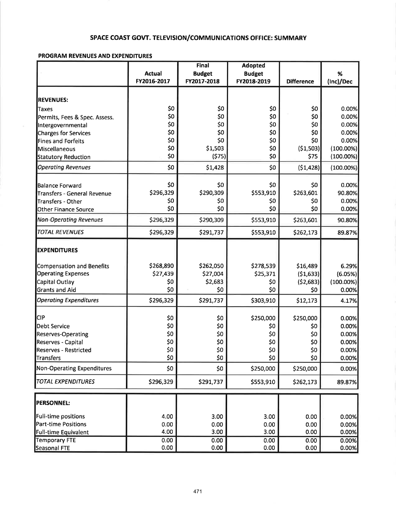# SPACE COAST GOVT. TELEVISION/COMMUNICATIONS OFFICE: SUMMARY

# PROGRAM REVENUES AND EXPENDITURES

|                                   |               | <b>Final</b>  | <b>Adopted</b> |                   |              |
|-----------------------------------|---------------|---------------|----------------|-------------------|--------------|
|                                   | <b>Actual</b> | <b>Budget</b> | <b>Budget</b>  |                   | %            |
|                                   | FY2016-2017   | FY2017-2018   | FY2018-2019    | <b>Difference</b> | (Inc)/Dec    |
|                                   |               |               |                |                   |              |
| <b>REVENUES:</b>                  |               |               |                |                   |              |
| <b>Taxes</b>                      | \$0           | \$0           | \$0            | \$0               | 0.00%        |
| Permits, Fees & Spec. Assess.     | \$0           | \$0           | \$0            | \$0               | 0.00%        |
| Intergovernmental                 | \$0           | \$0           | \$0            | \$0               | 0.00%        |
| <b>Charges for Services</b>       | \$0           | \$0           | \$0            | \$0               | 0.00%        |
| <b>Fines and Forfeits</b>         | \$0           | \$0           | \$0            | \$0               | 0.00%        |
| Miscellaneous                     | \$0           | \$1,503       | \$0            | (51,503)          | $(100.00\%)$ |
| <b>Statutory Reduction</b>        | \$0           | (575)         | \$0            | \$75              | $(100.00\%)$ |
| <b>Operating Revenues</b>         | \$0           | \$1,428       | \$0            | (\$1,428)         | $(100.00\%)$ |
| <b>Balance Forward</b>            | \$0           | \$0           | \$0            | \$0               | 0.00%        |
| Transfers - General Revenue       | \$296,329     | \$290,309     | \$553,910      | \$263,601         | 90.80%       |
| Transfers - Other                 | \$0           | \$0           | \$0            | \$0               | 0.00%        |
| Other Finance Source              | \$0           | \$0           | \$0            | \$0               | 0.00%        |
| <b>Non-Operating Revenues</b>     | \$296,329     | \$290,309     | \$553,910      | \$263,601         | 90.80%       |
| <b>TOTAL REVENUES</b>             | \$296,329     | \$291,737     | \$553,910      |                   |              |
|                                   |               |               |                | \$262,173         | 89.87%       |
| <b>EXPENDITURES</b>               |               |               |                |                   |              |
| Compensation and Benefits         | \$268,890     | \$262,050     | \$278,539      | \$16,489          | 6.29%        |
| <b>Operating Expenses</b>         | \$27,439      | \$27,004      | \$25,371       | (51,633)          | (6.05%)      |
| Capital Outlay                    | \$0           | \$2,683       | \$0            | (52,683)          | $(100.00\%)$ |
| <b>Grants and Aid</b>             | \$0           | \$0           | \$0            | \$0               | 0.00%        |
| <b>Operating Expenditures</b>     | \$296,329     | \$291,737     | \$303,910      | \$12,173          | 4.17%        |
| CIP                               | \$0           | \$0           | \$250,000      | \$250,000         | 0.00%        |
|                                   | \$0           |               |                |                   |              |
| <b>Debt Service</b>               |               | \$0           | \$0            | \$0               | 0.00%        |
| <b>Reserves-Operating</b>         | \$0           | \$0           | \$0            | \$0               | 0.00%        |
| Reserves - Capital                | \$0           | \$0           | \$0            | \$0               | 0.00%        |
| <b>Reserves - Restricted</b>      | \$0           | \$0           | \$0            | \$0               | 0.00%        |
| <b>Transfers</b>                  | \$0           | \$0           | \$0            | \$0               | 0.00%        |
| <b>Non-Operating Expenditures</b> | \$0           | \$0           | \$250,000      | \$250,000         | 0.00%        |
| <b>TOTAL EXPENDITURES</b>         | \$296,329     | \$291,737     | \$553,910      | \$262,173         | 89.87%       |
| <b>PERSONNEL:</b>                 |               |               |                |                   |              |
| Full-time positions               | 4.00          | 3.00          | 3.00           | 0.00              | 0.00%        |
| <b>Part-time Positions</b>        | 0.00          | 0.00          | 0.00           | 0.00              | 0.00%        |
| <b>Full-time Equivalent</b>       | 4.00          | 3.00          | 3.00           | 0.00              | 0.00%        |
| <b>Temporary FTE</b>              | 0.00          | 0.00          | 0.00           | 0.00              | 0.00%        |
| Seasonal FTE                      | 0.00          | 0.00          | 0.00           | 0.00              | 0.00%        |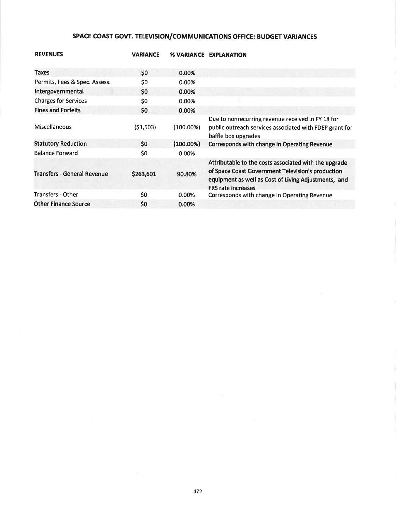# SPACE COAST GOVT. TELEVISION/COMMUNICATIONS OFFICE: BUDGET VARIANCES

| <b>REVENUES</b>                    | <b>VARIANCE</b> | <b>% VARIANCE</b> | <b>EXPLANATION</b>                                                                                                                                                                              |
|------------------------------------|-----------------|-------------------|-------------------------------------------------------------------------------------------------------------------------------------------------------------------------------------------------|
| Taxes                              | \$0             | 0.00%             |                                                                                                                                                                                                 |
| Permits, Fees & Spec. Assess.      | \$0             | 0.00%             |                                                                                                                                                                                                 |
| Intergovernmental                  | \$0             | 0.00%             |                                                                                                                                                                                                 |
| <b>Charges for Services</b>        | \$0             | 0.00%             |                                                                                                                                                                                                 |
| <b>Fines and Forfeits</b>          | \$0             | 0.00%             |                                                                                                                                                                                                 |
| Miscellaneous                      | (\$1,503)       | $(100.00\%)$      | Due to nonrecurring revenue received in FY 18 for<br>public outreach services associated with FDEP grant for<br>baffle box upgrades                                                             |
| <b>Statutory Reduction</b>         | 50              | $(100.00\%)$      | Corresponds with change in Operating Revenue                                                                                                                                                    |
| <b>Balance Forward</b>             | \$0             | 0.00%             |                                                                                                                                                                                                 |
| <b>Transfers - General Revenue</b> | \$263,601       | 90.80%            | Attributable to the costs associated with the upgrade<br>of Space Coast Government Television's production<br>equipment as well as Cost of Living Adjustments, and<br><b>FRS rate increases</b> |
| <b>Transfers - Other</b>           | \$0             | 0.00%             | Corresponds with change in Operating Revenue                                                                                                                                                    |
| <b>Other Finance Source</b>        | \$0             | 0.00%             |                                                                                                                                                                                                 |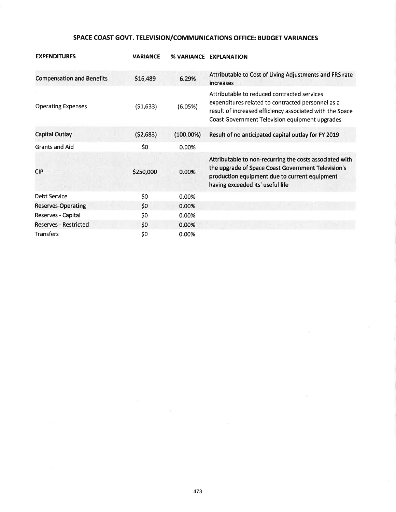# SPACE COAST GOVT. TELEVISION/COMMUNICATIONS OFFICE: BUDGET VARIANCES

| <b>EXPENDITURES</b>              | <b>VARIANCE</b> |              | % VARIANCE EXPLANATION                                                                                                                                                                                         |
|----------------------------------|-----------------|--------------|----------------------------------------------------------------------------------------------------------------------------------------------------------------------------------------------------------------|
| <b>Compensation and Benefits</b> | \$16,489        | 6.29%        | Attributable to Cost of Living Adjustments and FRS rate<br>increases                                                                                                                                           |
| <b>Operating Expenses</b>        | (51,633)        | (6.05%)      | Attributable to reduced contracted services<br>expenditures related to contracted personnel as a<br>result of increased efficiency associated with the Space<br>Coast Government Television equipment upgrades |
| <b>Capital Outlay</b>            | (52,683)        | $(100.00\%)$ | Result of no anticipated capital outlay for FY 2019                                                                                                                                                            |
| <b>Grants and Aid</b>            | \$0             | 0.00%        |                                                                                                                                                                                                                |
| <b>CIP</b>                       | \$250,000       | 0.00%        | Attributable to non-recurring the costs associated with<br>the upgrade of Space Coast Government Television's<br>production equipment due to current equipment<br>having exceeded its' useful life             |
| Debt Service                     | \$0             | 0.00%        |                                                                                                                                                                                                                |
| <b>Reserves-Operating</b>        | \$0             | 0.00%        |                                                                                                                                                                                                                |
| Reserves - Capital               | \$0             | 0.00%        |                                                                                                                                                                                                                |
| <b>Reserves - Restricted</b>     | \$0             | 0.00%        |                                                                                                                                                                                                                |
| <b>Transfers</b>                 | \$0             | 0.00%        |                                                                                                                                                                                                                |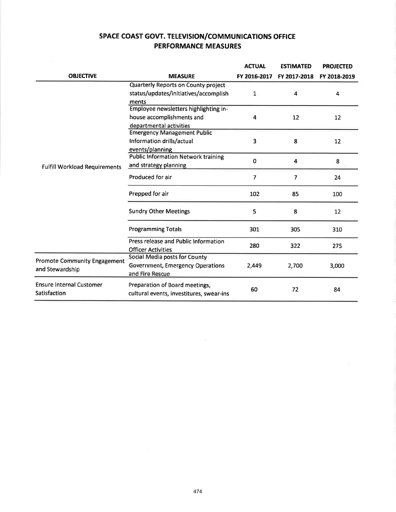# SPACE COAST GOVT. TELEVISION/COMMUNICATIONS OFFICE PERFORMANCE MEASURES

|                                                        |                                                                                               | <b>ACTUAL</b> | <b>ESTIMATED</b> | <b>PROJECTED</b> |
|--------------------------------------------------------|-----------------------------------------------------------------------------------------------|---------------|------------------|------------------|
| <b>OBJECTIVE</b>                                       | <b>MEASURE</b>                                                                                | FY 2016-2017  | FY 2017-2018     | FY 2018-2019     |
|                                                        | Quarterly Reports on County project<br>status/updates/initiatives/accomplish<br>ments         | 1             | 4                | 4                |
|                                                        | Employee newsletters highlighting in-<br>house accomplishments and<br>departmental activities | 4             | 12               | 12               |
|                                                        | <b>Emergency Management Public</b><br>Information drills/actual<br>events/planning            | 3             | 8                | 12               |
| <b>Fulfill Workload Requirements</b>                   | <b>Public Information Network training</b><br>and strategy planning                           | $\Omega$      | 4                | 8                |
|                                                        | Produced for air                                                                              | 7             | $\overline{7}$   | 24               |
|                                                        | Prepped for air                                                                               | 102           | 85               | 100              |
|                                                        | <b>Sundry Other Meetings</b>                                                                  | 5             | 8                | 12               |
|                                                        | <b>Programming Totals</b>                                                                     | 301           | 305              | 310              |
|                                                        | Press release and Public Information<br><b>Officer Activities</b>                             | 280           | 322              | 275              |
| <b>Promote Community Engagement</b><br>and Stewardship | Social Media posts for County<br>Government, Emergency Operations<br>and Fire Rescue          | 2,449         | 2,700            | 3,000            |
| <b>Ensure Internal Customer</b><br>Satisfaction        | Preparation of Board meetings,<br>cultural events, investitures, swear-ins                    | 60            | 72               | 84               |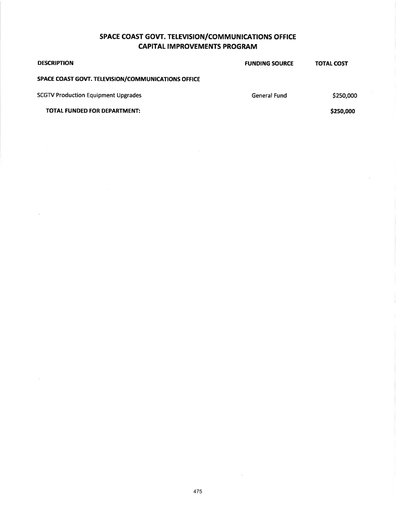# SPACE COAST GOVT. TELEVISION/COMMUNICATIONS OFFICE **CAPITAL IMPROVEMENTS PROGRAM**

| \$250,000 |
|-----------|
| \$250,000 |
|           |

 $\bar{\tau}$ 

 $\lambda$